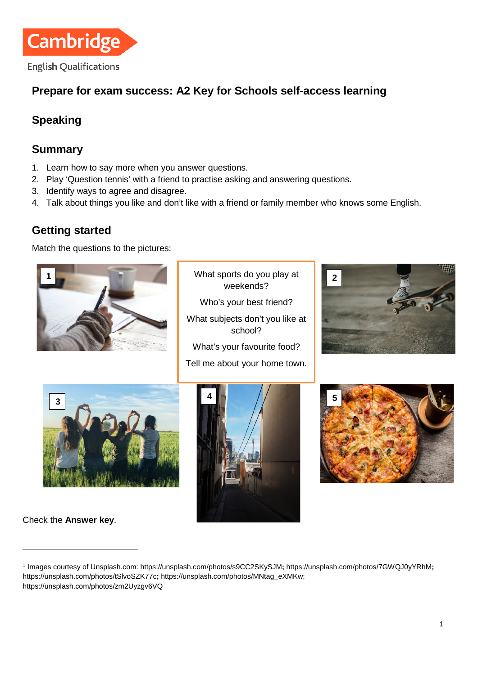

## **Prepare for exam success: A2 Key for Schools self-access learning**

# **Speaking**

### **Summary**

- 1. Learn how to say more when you answer questions.
- 2. Play 'Question tennis' with a friend to practise asking and answering questions.
- 3. Identify ways to agree and disagree.
- 4. Talk about things you like and don't like with a friend or family member who knows some English.

### **Getting started**

Match the questions to the pictures:



What sports do you play at weekends?

Who's your best friend?

What subjects don't you like at school?

What's your favourite food?

Tell me about your home town.









Check the **Answer key**.

 $\overline{a}$ 

<span id="page-0-0"></span><sup>1</sup> Images courtesy of Unsplash.com[: https://unsplash.com/photos/s9CC2SKySJM](https://unsplash.com/photos/s9CC2SKySJM)**[;](https://unsplash.com/photos/s9CC2SKySJM)** <https://unsplash.com/photos/7GWQJ0yYRhM>**;**  <https://unsplash.com/photos/tSlvoSZK77c>**;** [https://unsplash.com/photos/MNtag\\_eXMKw;](https://unsplash.com/photos/MNtag_eXMKw)  [https://unsplash.com/photos/zm2Uyzgv6VQ](https://unsplash.com/photos/zm2)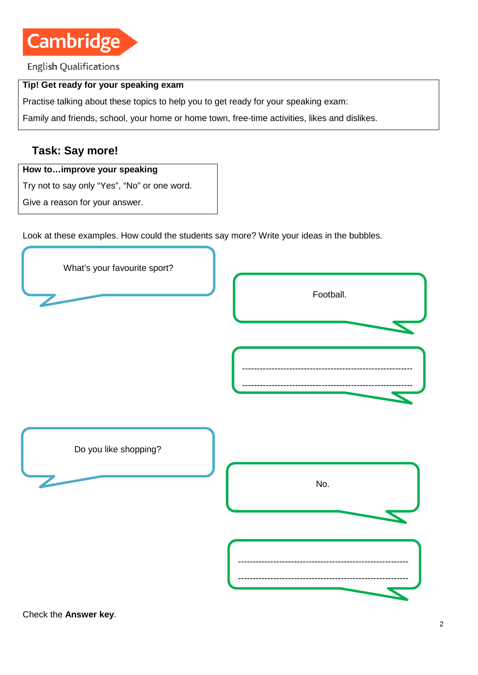

**English Qualifications** 

#### **Tip! Get ready for your speaking exam**

Practise talking about these topics to help you to get ready for your speaking exam:

Family and friends, school, your home or home town, free-time activities, likes and dislikes.

#### **Task: Say more!**

#### **How to…improve your speaking**

Try not to say only "Yes", "No" or one word.

Give a reason for your answer.

Look at these examples. How could the students say more? Write your ideas in the bubbles.



Check the **Answer key**.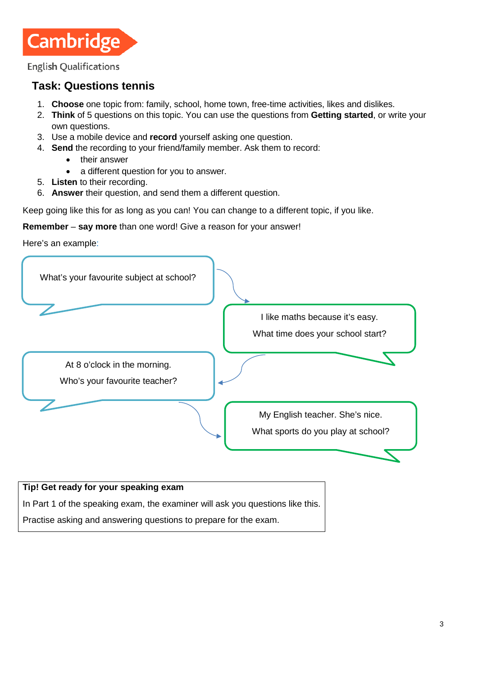**Cambridge** 

**English Qualifications** 

## **Task: Questions tennis**

- 1. **Choose** one topic from: family, school, home town, free-time activities, likes and dislikes.
- 2. **Think** of 5 questions on this topic. You can use the questions from **Getting started**, or write your own questions.
- 3. Use a mobile device and **record** yourself asking one question.
- 4. **Send** the recording to your friend/family member. Ask them to record:
	- their answer
	- a different question for you to answer.
- 5. **Listen** to their recording.
- 6. **Answer** their question, and send them a different question.

Keep going like this for as long as you can! You can change to a different topic, if you like.

**Remember** – **say more** than one word! Give a reason for your answer!

Here's an example:



In Part 1 of the speaking exam, the examiner will ask you questions like this.

Practise asking and answering questions to prepare for the exam.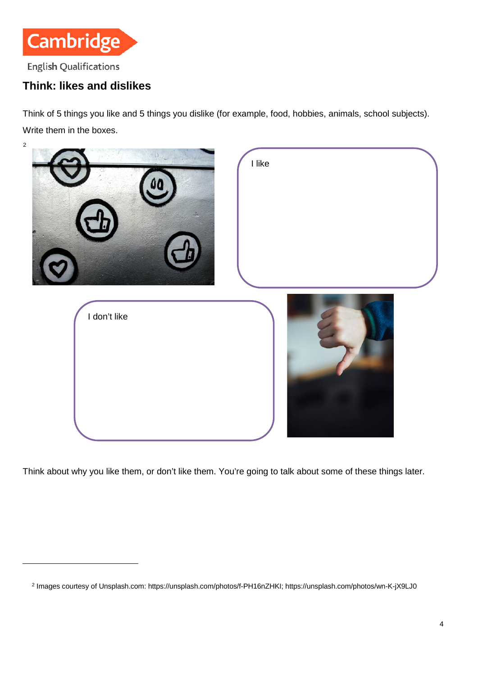

## **Think: likes and dislikes**

 $\overline{a}$ 

Think of 5 things you like and 5 things you dislike (for example, food, hobbies, animals, school subjects). Write them in the boxes.



Think about why you like them, or don't like them. You're going to talk about some of these things later.

<span id="page-3-0"></span><sup>2</sup> Images courtesy of Unsplash.com[: https://unsplash.com/photos/f-PH16nZHKI;](https://unsplash.com/photos/f-PH16nZHKI)<https://unsplash.com/photos/wn-K-jX9LJ0>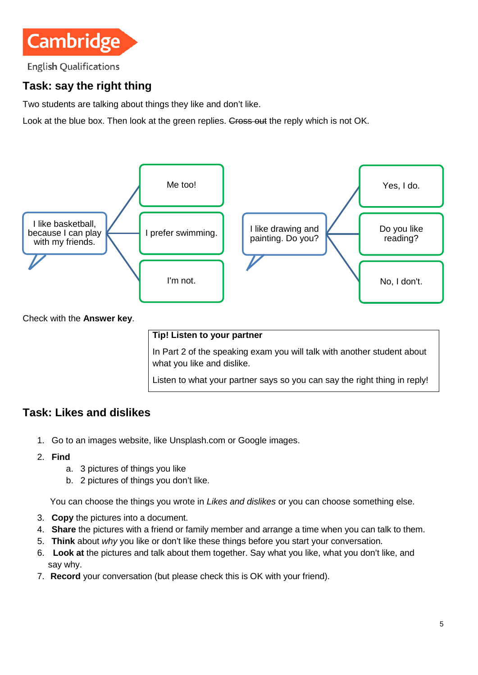

**English Qualifications** 

# **Task: say the right thing**

Two students are talking about things they like and don't like.

Look at the blue box. Then look at the green replies. Gross out the reply which is not OK.



In Part 2 of the speaking exam you will talk with another student about what you like and dislike.

Listen to what your partner says so you can say the right thing in reply!

#### **Task: Likes and dislikes**

- 1. Go to [an](https://unsplash.com/) images website, like Unsplash.com or Google images.
- 2. **Find**
	- a. 3 pictures of things you like
	- b. 2 pictures of things you don't like.

You can choose the things you wrote in *Likes and dislikes* or you can choose something else.

- 3. **Copy** the pictures into a document.
- 4. **Share** the pictures with a friend or family member and arrange a time when you can talk to them.
- 5. **Think** about *why* you like or don't like these things before you start your conversation.
- 6. **Look at** the pictures and talk about them together. Say what you like, what you don't like, and say why.
- 7. **Record** your conversation (but please check this is OK with your friend).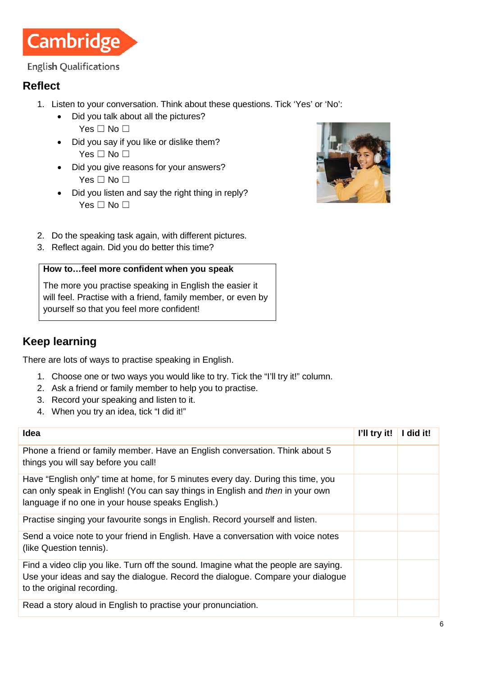

#### **English Qualifications**

#### **Reflect**

- 1. Listen to your conversation. Think about these questions. Tick 'Yes' or 'No':
	- Did you talk about all the pictures? Yes □ No □
	- Did you say if you like or dislike them? Yes □ No □
	- Did you give reasons for your answers? Yes □ No □
	- Did you listen and say the right thing in reply? Yes □ No □



- 2. Do the speaking task again, with different pictures.
- 3. Reflect again. Did you do better this time?

#### **How to…feel more confident when you speak**

The more you practise speaking in English the easier it will feel. Practise with a friend, family member, or even by yourself so that you feel more confident!

## **Keep learning**

There are lots of ways to practise speaking in English.

- 1. Choose one or two ways you would like to try. Tick the "I'll try it!" column.
- 2. Ask a friend or family member to help you to practise.
- 3. Record your speaking and listen to it.
- 4. When you try an idea, tick "I did it!"

| <b>Idea</b>                                                                                                                                                                                                             | I'll try it! | did it! |
|-------------------------------------------------------------------------------------------------------------------------------------------------------------------------------------------------------------------------|--------------|---------|
| Phone a friend or family member. Have an English conversation. Think about 5<br>things you will say before you call!                                                                                                    |              |         |
| Have "English only" time at home, for 5 minutes every day. During this time, you<br>can only speak in English! (You can say things in English and then in your own<br>language if no one in your house speaks English.) |              |         |
| Practise singing your favourite songs in English. Record yourself and listen.                                                                                                                                           |              |         |
| Send a voice note to your friend in English. Have a conversation with voice notes<br>(like Question tennis).                                                                                                            |              |         |
| Find a video clip you like. Turn off the sound. Imagine what the people are saying.<br>Use your ideas and say the dialogue. Record the dialogue. Compare your dialogue<br>to the original recording.                    |              |         |
| Read a story aloud in English to practise your pronunciation.                                                                                                                                                           |              |         |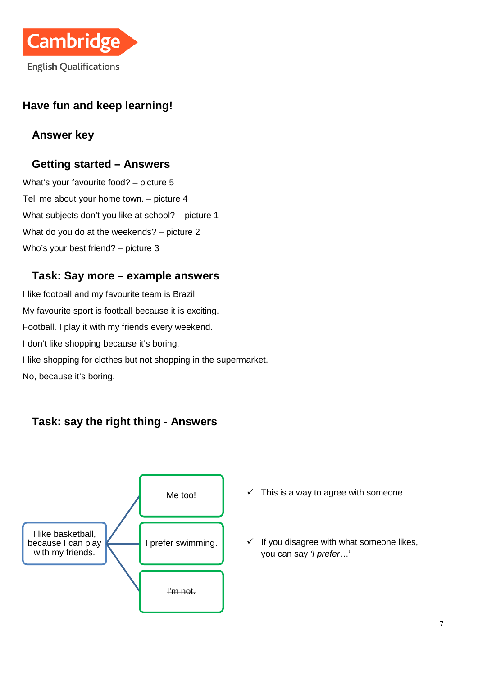

## **Have fun and keep learning!**

### **Answer key**

#### **Getting started – Answers**

What's your favourite food? – picture 5 Tell me about your home town. – picture 4 What subjects don't you like at school? – picture 1 What do you do at the weekends? – picture 2 Who's your best friend? – picture 3

#### **Task: Say more – example answers**

I like football and my favourite team is Brazil. My favourite sport is football because it is exciting. Football. I play it with my friends every weekend. I don't like shopping because it's boring. I like shopping for clothes but not shopping in the supermarket. No, because it's boring.



#### **Task: say the right thing - Answers**

- $\checkmark$  This is a way to agree with someone
- $\checkmark$  If you disagree with what someone likes, you can say *'I prefer*…'